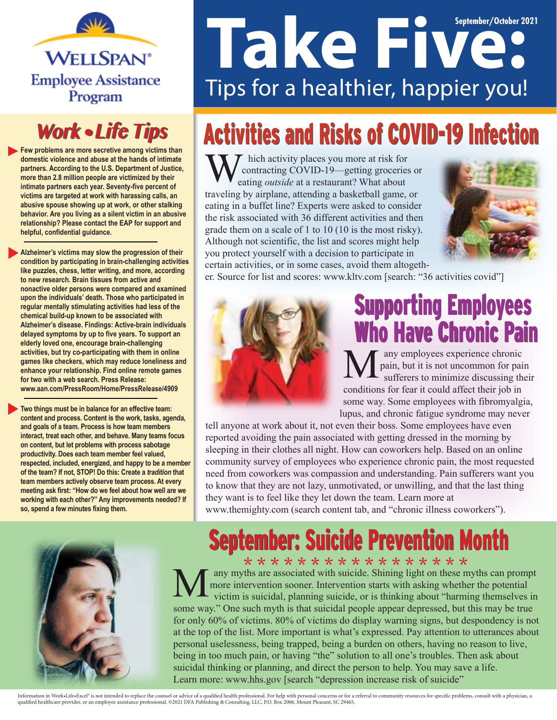

#### **Work • Life Tips**

**Few problems are more secretive among victims than domestic violence and abuse at the hands of intimate partners. According to the U.S. Department of Justice, more than 2.8 million people are victimized by their intimate partners each year. Seventy-five percent of victims are targeted at work with harassing calls, an abusive spouse showing up at work, or other stalking behavior. Are you living as a silent victim in an abusive relationship? Please contact the EAP for support and helpful, confidential guidance.**

**Alzheimer's victims may slow the progression of their condition by participating in brain-challenging activities like puzzles, chess, letter writing, and more, according to new research. Brain tissues from active and nonactive older persons were compared and examined upon the individuals' death. Those who participated in regular mentally stimulating activities had less of the chemical build-up known to be associated with Alzheimer's disease. Findings: Active-brain individuals delayed symptoms by up to five years. To support an elderly loved one, encourage brain-challenging activities, but try co-participating with them in online games like checkers, which may reduce loneliness and enhance your relationship. Find online remote games for two with a web search. Press Release: www.aan.com/PressRoom/Home/PressRelease/4909**

**Two things must be in balance for an effective team: content and process. Content is the work, tasks, agenda, and goals of a team. Process is how team members interact, treat each other, and behave. Many teams focus on content, but let problems with process sabotage productivity. Does each team member feel valued, respected, included, energized, and happy to be a member of the team? If not, STOP! Do this: Create a** *tradition* **that team members actively observe team process. At every meeting ask first: "How do we feel about how well are we working with each other?" Any improvements needed? If so, spend a few minutes fixing them.**

# **Take Figure 1.1 Constraint Constraint Constraint Constraint Constraint Constraint Constraint Constraint Constraint Construction Construction Construction Construction Construction Construction Construction Construction Co** Tips for a healthier, happier you!

## **Activities and Risks of COVID-19 Infection**

hich activity places you more at risk for contracting COVID-19—getting groceries or eating *outside* at a restaurant? What about traveling by airplane, attending a basketball game, or eating in a buffet line? Experts were asked to consider the risk associated with 36 different activities and then grade them on a scale of 1 to 10 (10 is the most risky). Although not scientific, the list and scores might help you protect yourself with a decision to participate in certain activities, or in some cases, avoid them altogeth-



er. Source for list and scores: www.kltv.com [search: "36 activities covid"]



#### Supporting Employees Supporting Employees Who Have Chronic Pain Who Have Chronic Pain

any employees experience chronic pain, but it is not uncommon for pain sufferers to minimize discussing their conditions for fear it could affect their job in some way. Some employees with fibromyalgia, lupus, and chronic fatigue syndrome may never

tell anyone at work about it, not even their boss. Some employees have even reported avoiding the pain associated with getting dressed in the morning by sleeping in their clothes all night. How can coworkers help. Based on an online community survey of employees who experience chronic pain, the most requested need from coworkers was compassion and understanding. Pain sufferers want you to know that they are not lazy, unmotivated, or unwilling, and that the last thing they want is to feel like they let down the team. Learn more at www.themighty.com (search content tab, and "chronic illness coworkers").



### **September: Suicide Prevention Month**

\* \* \* \* \* \* \* \* \* \* \* \* \* \* \* \* \* any myths are associated with suicide. Shining light on these myths can prompt more intervention sooner. Intervention starts with asking whether the potential victim is suicidal, planning suicide, or is thinking about "harming themselves in some way." One such myth is that suicidal people appear depressed, but this may be true for only 60% of victims. 80% of victims do display warning signs, but despondency is not at the top of the list. More important is what's expressed. Pay attention to utterances about personal uselessness, being trapped, being a burden on others, having no reason to live, being in too much pain, or having "the" solution to all one's troubles. Then ask about suicidal thinking or planning, and direct the person to help. You may save a life. Learn more: www.hhs.gov [search "depression increase risk of suicide"

Information in Work-Life-Excel<sup>s</sup> is not intended to replace the counsel or advice of a qualified health professional. For help with personal concerns or for a referral to community resources for specific problems, consult qualied healthcare provider, or an employee assistance professional. ©2021 DFA Publishing & Consulting, LLC, P.O. Box 2006, Mount Pleasant, SC 29465.